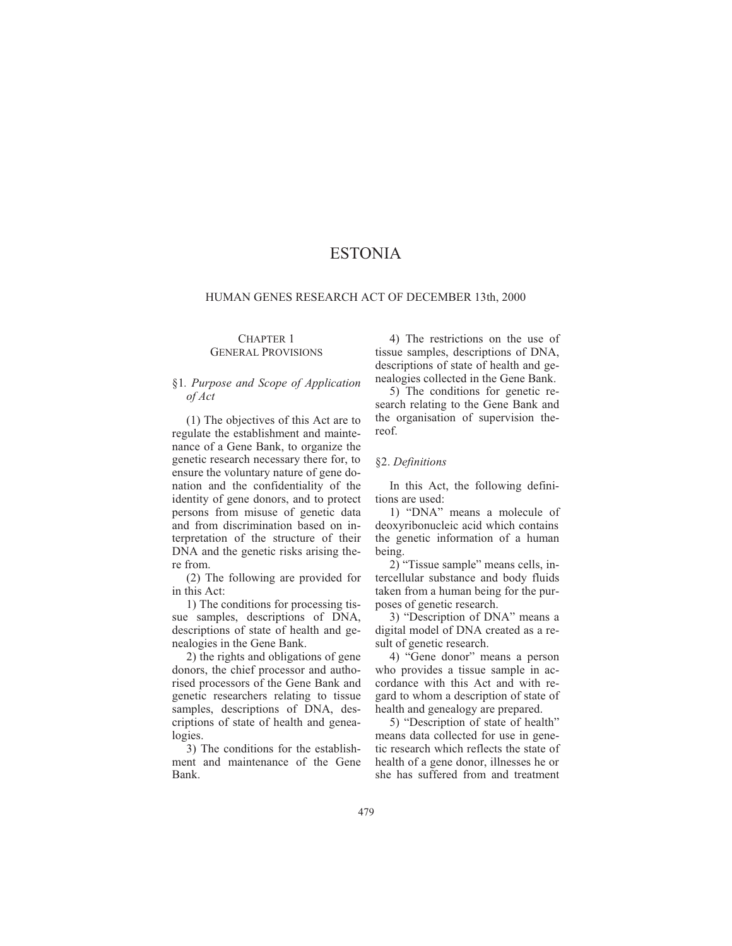# ESTONIA

## HUMAN GENES RESEARCH ACT OF DECEMBER 13th, 2000

#### CHAPTER 1 GENERAL PROVISIONS

# §1*. Purpose and Scope of Application of Act*

(1) The objectives of this Act are to regulate the establishment and maintenance of a Gene Bank, to organize the genetic research necessary there for, to ensure the voluntary nature of gene donation and the confidentiality of the identity of gene donors, and to protect persons from misuse of genetic data and from discrimination based on interpretation of the structure of their DNA and the genetic risks arising there from.

(2) The following are provided for in this Act:

1) The conditions for processing tissue samples, descriptions of DNA, descriptions of state of health and genealogies in the Gene Bank.

2) the rights and obligations of gene donors, the chief processor and authorised processors of the Gene Bank and genetic researchers relating to tissue samples, descriptions of DNA, descriptions of state of health and genealogies.

3) The conditions for the establishment and maintenance of the Gene Bank.

4) The restrictions on the use of tissue samples, descriptions of DNA, descriptions of state of health and genealogies collected in the Gene Bank.

5) The conditions for genetic research relating to the Gene Bank and the organisation of supervision thereof.

# §2. *Definitions*

In this Act, the following definitions are used:

1) "DNA" means a molecule of deoxyribonucleic acid which contains the genetic information of a human being.

2) "Tissue sample" means cells, intercellular substance and body fluids taken from a human being for the purposes of genetic research.

3) "Description of DNA" means a digital model of DNA created as a result of genetic research.

4) "Gene donor" means a person who provides a tissue sample in accordance with this Act and with regard to whom a description of state of health and genealogy are prepared.

5) "Description of state of health" means data collected for use in genetic research which reflects the state of health of a gene donor, illnesses he or she has suffered from and treatment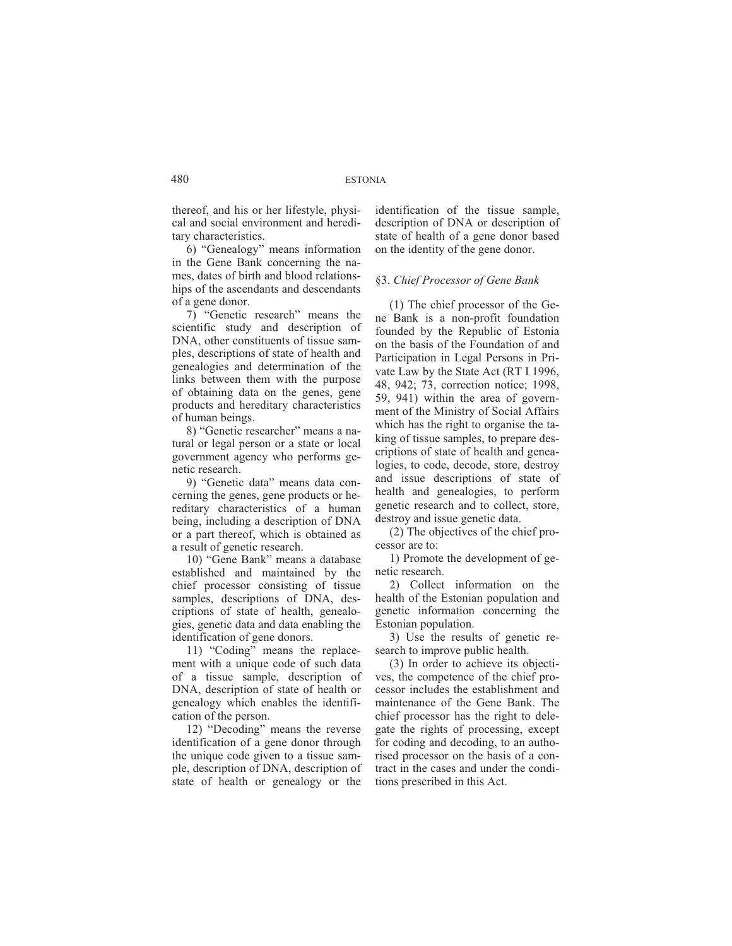thereof, and his or her lifestyle, physical and social environment and hereditary characteristics.

6) "Genealogy" means information in the Gene Bank concerning the names, dates of birth and blood relationships of the ascendants and descendants of a gene donor.

7) "Genetic research" means the scientific study and description of DNA, other constituents of tissue samples, descriptions of state of health and genealogies and determination of the links between them with the purpose of obtaining data on the genes, gene products and hereditary characteristics of human beings.

8) "Genetic researcher" means a natural or legal person or a state or local government agency who performs genetic research.

9) "Genetic data" means data concerning the genes, gene products or hereditary characteristics of a human being, including a description of DNA or a part thereof, which is obtained as a result of genetic research.

10) "Gene Bank" means a database established and maintained by the chief processor consisting of tissue samples, descriptions of DNA, descriptions of state of health, genealogies, genetic data and data enabling the identification of gene donors.

11) "Coding" means the replacement with a unique code of such data of a tissue sample, description of DNA, description of state of health or genealogy which enables the identification of the person.

12) "Decoding" means the reverse identification of a gene donor through the unique code given to a tissue sample, description of DNA, description of state of health or genealogy or the

identification of the tissue sample, description of DNA or description of state of health of a gene donor based on the identity of the gene donor.

# §3. *Chief Processor of Gene Bank*

(1) The chief processor of the Gene Bank is a non-profit foundation founded by the Republic of Estonia on the basis of the Foundation of and Participation in Legal Persons in Private Law by the State Act (RT I 1996, 48, 942; 73, correction notice; 1998, 59, 941) within the area of government of the Ministry of Social Affairs which has the right to organise the taking of tissue samples, to prepare descriptions of state of health and genealogies, to code, decode, store, destroy and issue descriptions of state of health and genealogies, to perform genetic research and to collect, store, destroy and issue genetic data.

(2) The objectives of the chief processor are to:

1) Promote the development of genetic research.

2) Collect information on the health of the Estonian population and genetic information concerning the Estonian population.

3) Use the results of genetic research to improve public health.

(3) In order to achieve its objectives, the competence of the chief processor includes the establishment and maintenance of the Gene Bank. The chief processor has the right to delegate the rights of processing, except for coding and decoding, to an authorised processor on the basis of a contract in the cases and under the conditions prescribed in this Act.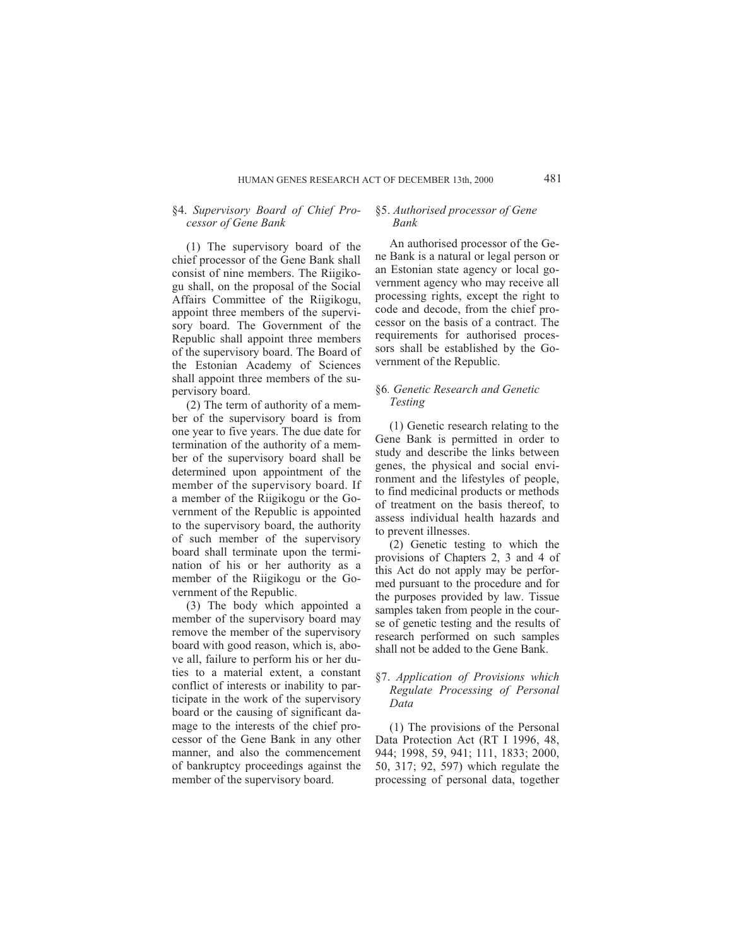# §4. *Supervisory Board of Chief Processor of Gene Bank*

(1) The supervisory board of the chief processor of the Gene Bank shall consist of nine members. The Riigikogu shall, on the proposal of the Social Affairs Committee of the Riigikogu, appoint three members of the supervisory board. The Government of the Republic shall appoint three members of the supervisory board. The Board of the Estonian Academy of Sciences shall appoint three members of the supervisory board.

(2) The term of authority of a member of the supervisory board is from one year to five years. The due date for termination of the authority of a member of the supervisory board shall be determined upon appointment of the member of the supervisory board. If a member of the Riigikogu or the Government of the Republic is appointed to the supervisory board, the authority of such member of the supervisory board shall terminate upon the termination of his or her authority as a member of the Riigikogu or the Government of the Republic.

(3) The body which appointed a member of the supervisory board may remove the member of the supervisory board with good reason, which is, above all, failure to perform his or her duties to a material extent, a constant conflict of interests or inability to participate in the work of the supervisory board or the causing of significant damage to the interests of the chief processor of the Gene Bank in any other manner, and also the commencement of bankruptcy proceedings against the member of the supervisory board.

# §5. *Authorised processor of Gene Bank*

An authorised processor of the Gene Bank is a natural or legal person or an Estonian state agency or local government agency who may receive all processing rights, except the right to code and decode, from the chief processor on the basis of a contract. The requirements for authorised processors shall be established by the Government of the Republic.

# §6*. Genetic Research and Genetic Testing*

(1) Genetic research relating to the Gene Bank is permitted in order to study and describe the links between genes, the physical and social environment and the lifestyles of people, to find medicinal products or methods of treatment on the basis thereof, to assess individual health hazards and to prevent illnesses.

(2) Genetic testing to which the provisions of Chapters 2, 3 and 4 of this Act do not apply may be performed pursuant to the procedure and for the purposes provided by law. Tissue samples taken from people in the course of genetic testing and the results of research performed on such samples shall not be added to the Gene Bank.

# §7. *Application of Provisions which Regulate Processing of Personal Data*

(1) The provisions of the Personal Data Protection Act (RT I 1996, 48, 944; 1998, 59, 941; 111, 1833; 2000, 50, 317; 92, 597) which regulate the processing of personal data, together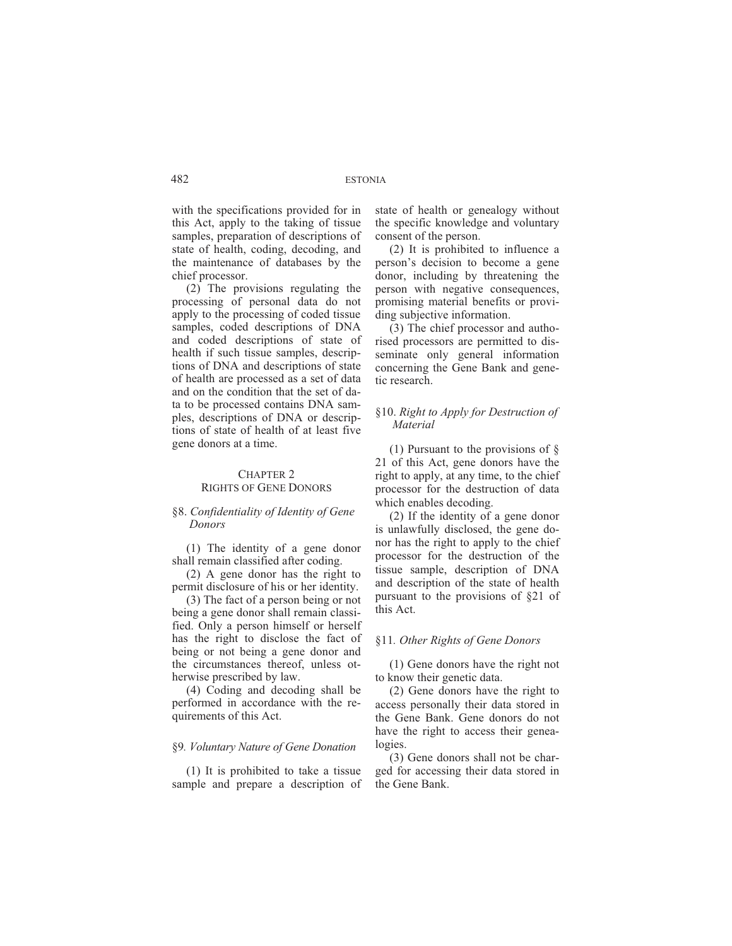with the specifications provided for in this Act, apply to the taking of tissue samples, preparation of descriptions of state of health, coding, decoding, and the maintenance of databases by the chief processor.

(2) The provisions regulating the processing of personal data do not apply to the processing of coded tissue samples, coded descriptions of DNA and coded descriptions of state of health if such tissue samples, descriptions of DNA and descriptions of state of health are processed as a set of data and on the condition that the set of data to be processed contains DNA samples, descriptions of DNA or descriptions of state of health of at least five gene donors at a time.

#### CHAPTER 2 RIGHTS OF GENE DONORS

# §8. *Confidentiality of Identity of Gene Donors*

(1) The identity of a gene donor shall remain classified after coding.

(2) A gene donor has the right to permit disclosure of his or her identity.

(3) The fact of a person being or not being a gene donor shall remain classified. Only a person himself or herself has the right to disclose the fact of being or not being a gene donor and the circumstances thereof, unless otherwise prescribed by law.

(4) Coding and decoding shall be performed in accordance with the requirements of this Act.

# §9*. Voluntary Nature of Gene Donation*

(1) It is prohibited to take a tissue sample and prepare a description of state of health or genealogy without the specific knowledge and voluntary consent of the person.

(2) It is prohibited to influence a person's decision to become a gene donor, including by threatening the person with negative consequences, promising material benefits or providing subjective information.

(3) The chief processor and authorised processors are permitted to disseminate only general information concerning the Gene Bank and genetic research.

# §10. *Right to Apply for Destruction of Material*

(1) Pursuant to the provisions of § 21 of this Act, gene donors have the right to apply, at any time, to the chief processor for the destruction of data which enables decoding.

(2) If the identity of a gene donor is unlawfully disclosed, the gene donor has the right to apply to the chief processor for the destruction of the tissue sample, description of DNA and description of the state of health pursuant to the provisions of §21 of this Act.

#### §11*. Other Rights of Gene Donors*

(1) Gene donors have the right not to know their genetic data.

(2) Gene donors have the right to access personally their data stored in the Gene Bank. Gene donors do not have the right to access their genealogies.

(3) Gene donors shall not be charged for accessing their data stored in the Gene Bank.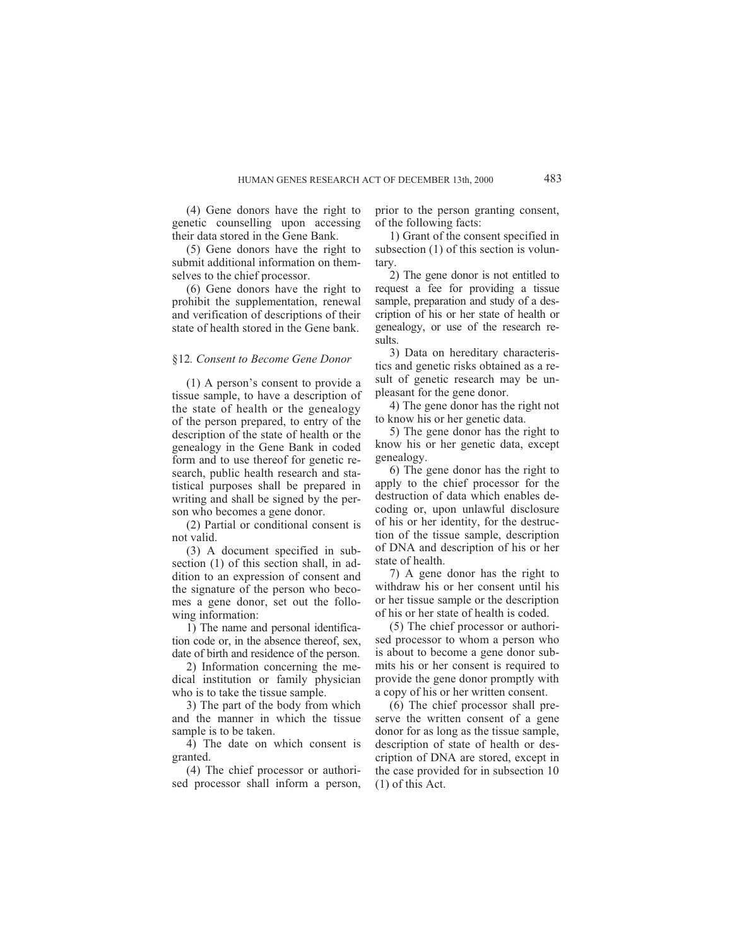(4) Gene donors have the right to genetic counselling upon accessing their data stored in the Gene Bank.

(5) Gene donors have the right to submit additional information on themselves to the chief processor.

(6) Gene donors have the right to prohibit the supplementation, renewal and verification of descriptions of their state of health stored in the Gene bank.

# §12*. Consent to Become Gene Donor*

(1) A person's consent to provide a tissue sample, to have a description of the state of health or the genealogy of the person prepared, to entry of the description of the state of health or the genealogy in the Gene Bank in coded form and to use thereof for genetic research, public health research and statistical purposes shall be prepared in writing and shall be signed by the person who becomes a gene donor.

(2) Partial or conditional consent is not valid.

(3) A document specified in subsection (1) of this section shall, in addition to an expression of consent and the signature of the person who becomes a gene donor, set out the following information:

1) The name and personal identification code or, in the absence thereof, sex, date of birth and residence of the person.

2) Information concerning the medical institution or family physician who is to take the tissue sample.

3) The part of the body from which and the manner in which the tissue sample is to be taken.

4) The date on which consent is granted.

(4) The chief processor or authorised processor shall inform a person,

prior to the person granting consent, of the following facts:

1) Grant of the consent specified in subsection (1) of this section is voluntary.

2) The gene donor is not entitled to request a fee for providing a tissue sample, preparation and study of a description of his or her state of health or genealogy, or use of the research results.

3) Data on hereditary characteristics and genetic risks obtained as a result of genetic research may be unpleasant for the gene donor.

4) The gene donor has the right not to know his or her genetic data.

5) The gene donor has the right to know his or her genetic data, except genealogy.

6) The gene donor has the right to apply to the chief processor for the destruction of data which enables decoding or, upon unlawful disclosure of his or her identity, for the destruction of the tissue sample, description of DNA and description of his or her state of health.

7) A gene donor has the right to withdraw his or her consent until his or her tissue sample or the description of his or her state of health is coded.

(5) The chief processor or authorised processor to whom a person who is about to become a gene donor submits his or her consent is required to provide the gene donor promptly with a copy of his or her written consent.

(6) The chief processor shall preserve the written consent of a gene donor for as long as the tissue sample, description of state of health or description of DNA are stored, except in the case provided for in subsection 10 (1) of this Act.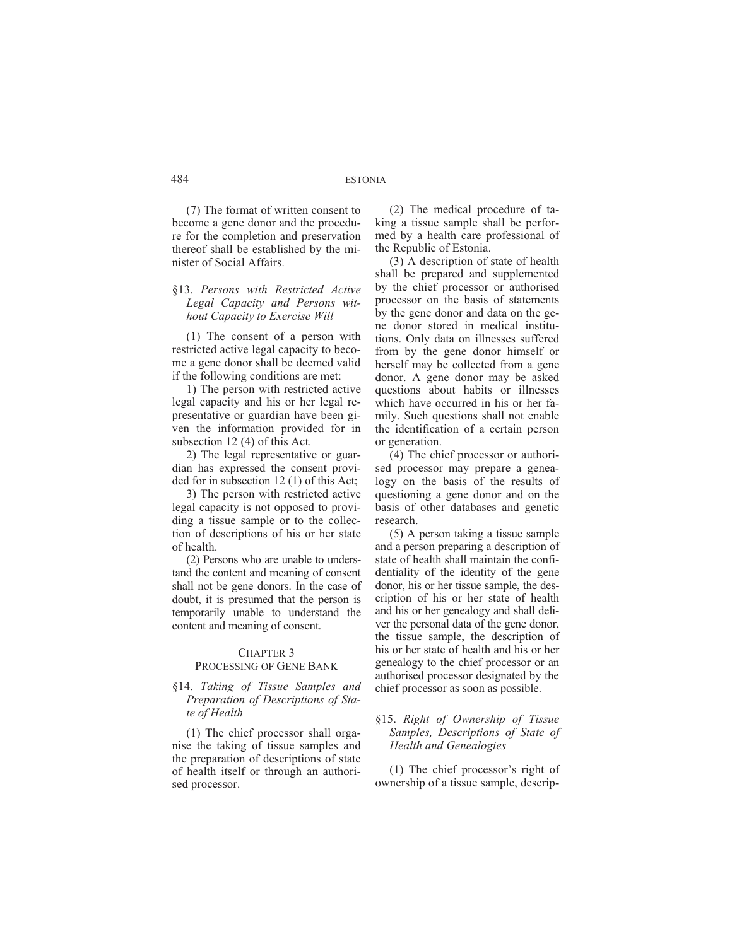(7) The format of written consent to become a gene donor and the procedure for the completion and preservation thereof shall be established by the minister of Social Affairs.

# §13. *Persons with Restricted Active Legal Capacity and Persons without Capacity to Exercise Will*

(1) The consent of a person with restricted active legal capacity to become a gene donor shall be deemed valid if the following conditions are met:

1) The person with restricted active legal capacity and his or her legal representative or guardian have been given the information provided for in subsection 12 (4) of this Act.

2) The legal representative or guardian has expressed the consent provided for in subsection 12 (1) of this Act;

3) The person with restricted active legal capacity is not opposed to providing a tissue sample or to the collection of descriptions of his or her state of health.

(2) Persons who are unable to understand the content and meaning of consent shall not be gene donors. In the case of doubt, it is presumed that the person is temporarily unable to understand the content and meaning of consent.

#### CHAPTER 3 PROCESSING OF GENE BANK

# §14. *Taking of Tissue Samples and*

# *Preparation of Descriptions of State of Health*

(1) The chief processor shall organise the taking of tissue samples and the preparation of descriptions of state of health itself or through an authorised processor.

(2) The medical procedure of taking a tissue sample shall be performed by a health care professional of the Republic of Estonia.

(3) A description of state of health shall be prepared and supplemented by the chief processor or authorised processor on the basis of statements by the gene donor and data on the gene donor stored in medical institutions. Only data on illnesses suffered from by the gene donor himself or herself may be collected from a gene donor. A gene donor may be asked questions about habits or illnesses which have occurred in his or her family. Such questions shall not enable the identification of a certain person or generation.

(4) The chief processor or authorised processor may prepare a genealogy on the basis of the results of questioning a gene donor and on the basis of other databases and genetic research.

(5) A person taking a tissue sample and a person preparing a description of state of health shall maintain the confidentiality of the identity of the gene donor, his or her tissue sample, the description of his or her state of health and his or her genealogy and shall deliver the personal data of the gene donor, the tissue sample, the description of his or her state of health and his or her genealogy to the chief processor or an authorised processor designated by the chief processor as soon as possible.

# §15. *Right of Ownership of Tissue Samples, Descriptions of State of Health and Genealogies*

(1) The chief processor's right of ownership of a tissue sample, descrip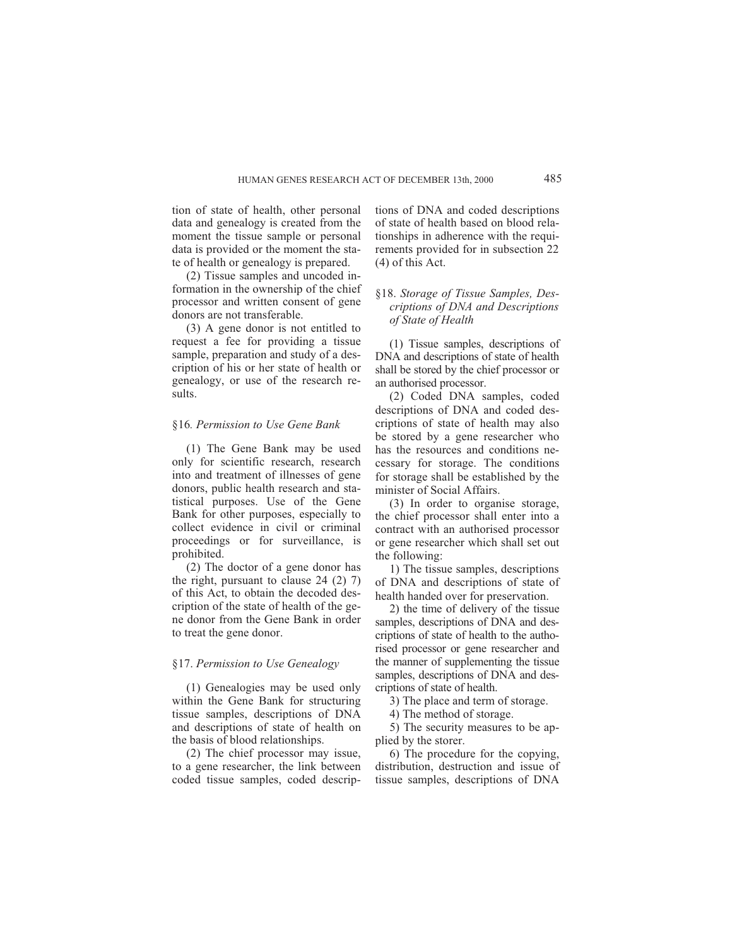tion of state of health, other personal data and genealogy is created from the moment the tissue sample or personal data is provided or the moment the state of health or genealogy is prepared.

(2) Tissue samples and uncoded information in the ownership of the chief processor and written consent of gene donors are not transferable.

(3) A gene donor is not entitled to request a fee for providing a tissue sample, preparation and study of a description of his or her state of health or genealogy, or use of the research results.

# §16*. Permission to Use Gene Bank*

(1) The Gene Bank may be used only for scientific research, research into and treatment of illnesses of gene donors, public health research and statistical purposes. Use of the Gene Bank for other purposes, especially to collect evidence in civil or criminal proceedings or for surveillance, is prohibited.

(2) The doctor of a gene donor has the right, pursuant to clause 24 (2) 7) of this Act, to obtain the decoded description of the state of health of the gene donor from the Gene Bank in order to treat the gene donor.

# §17. *Permission to Use Genealogy*

(1) Genealogies may be used only within the Gene Bank for structuring tissue samples, descriptions of DNA and descriptions of state of health on the basis of blood relationships.

(2) The chief processor may issue, to a gene researcher, the link between coded tissue samples, coded descriptions of DNA and coded descriptions of state of health based on blood relationships in adherence with the requirements provided for in subsection 22 (4) of this Act.

# §18. *Storage of Tissue Samples, Descriptions of DNA and Descriptions of State of Health*

(1) Tissue samples, descriptions of DNA and descriptions of state of health shall be stored by the chief processor or an authorised processor.

(2) Coded DNA samples, coded descriptions of DNA and coded descriptions of state of health may also be stored by a gene researcher who has the resources and conditions necessary for storage. The conditions for storage shall be established by the minister of Social Affairs.

(3) In order to organise storage, the chief processor shall enter into a contract with an authorised processor or gene researcher which shall set out the following:

1) The tissue samples, descriptions of DNA and descriptions of state of health handed over for preservation.

2) the time of delivery of the tissue samples, descriptions of DNA and descriptions of state of health to the authorised processor or gene researcher and the manner of supplementing the tissue samples, descriptions of DNA and descriptions of state of health.

3) The place and term of storage.

4) The method of storage.

5) The security measures to be applied by the storer.

6) The procedure for the copying, distribution, destruction and issue of tissue samples, descriptions of DNA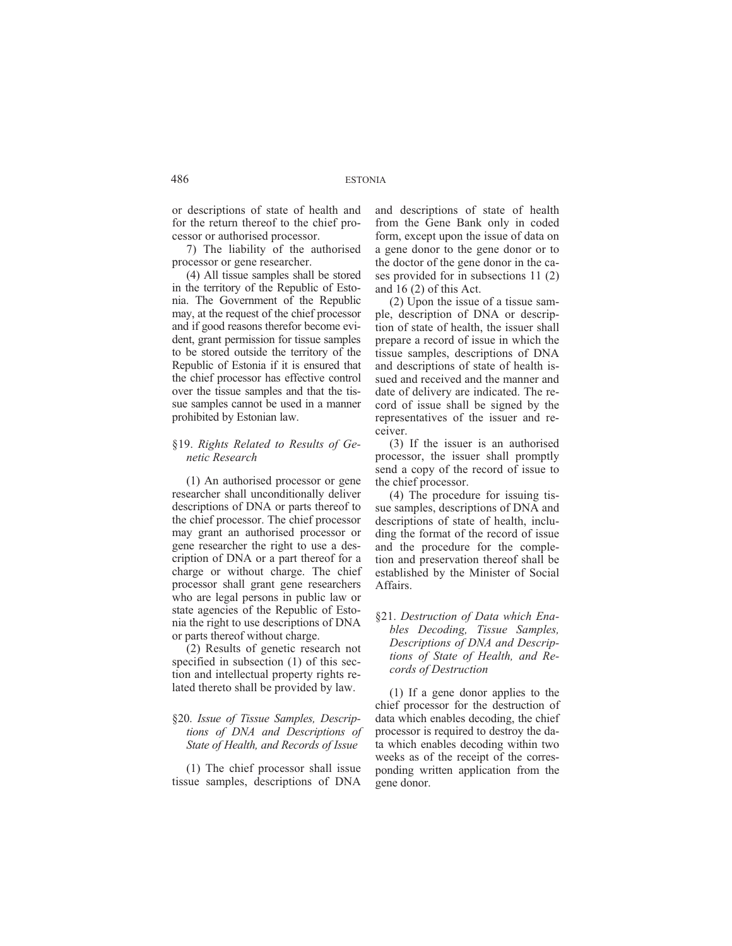or descriptions of state of health and for the return thereof to the chief processor or authorised processor.

7) The liability of the authorised processor or gene researcher.

(4) All tissue samples shall be stored in the territory of the Republic of Estonia. The Government of the Republic may, at the request of the chief processor and if good reasons therefor become evident, grant permission for tissue samples to be stored outside the territory of the Republic of Estonia if it is ensured that the chief processor has effective control over the tissue samples and that the tissue samples cannot be used in a manner prohibited by Estonian law.

# §19. *Rights Related to Results of Genetic Research*

(1) An authorised processor or gene researcher shall unconditionally deliver descriptions of DNA or parts thereof to the chief processor. The chief processor may grant an authorised processor or gene researcher the right to use a description of DNA or a part thereof for a charge or without charge. The chief processor shall grant gene researchers who are legal persons in public law or state agencies of the Republic of Estonia the right to use descriptions of DNA or parts thereof without charge.

(2) Results of genetic research not specified in subsection (1) of this section and intellectual property rights related thereto shall be provided by law.

# §20. *Issue of Tissue Samples, Descriptions of DNA and Descriptions of State of Health, and Records of Issue*

(1) The chief processor shall issue tissue samples, descriptions of DNA and descriptions of state of health from the Gene Bank only in coded form, except upon the issue of data on a gene donor to the gene donor or to the doctor of the gene donor in the cases provided for in subsections 11 (2) and 16 (2) of this Act.

(2) Upon the issue of a tissue sample, description of DNA or description of state of health, the issuer shall prepare a record of issue in which the tissue samples, descriptions of DNA and descriptions of state of health issued and received and the manner and date of delivery are indicated. The record of issue shall be signed by the representatives of the issuer and receiver.

(3) If the issuer is an authorised processor, the issuer shall promptly send a copy of the record of issue to the chief processor.

(4) The procedure for issuing tissue samples, descriptions of DNA and descriptions of state of health, including the format of the record of issue and the procedure for the completion and preservation thereof shall be established by the Minister of Social Affairs.

# §21. *Destruction of Data which Enables Decoding, Tissue Samples, Descriptions of DNA and Descriptions of State of Health, and Records of Destruction*

(1) If a gene donor applies to the chief processor for the destruction of data which enables decoding, the chief processor is required to destroy the data which enables decoding within two weeks as of the receipt of the corresponding written application from the gene donor.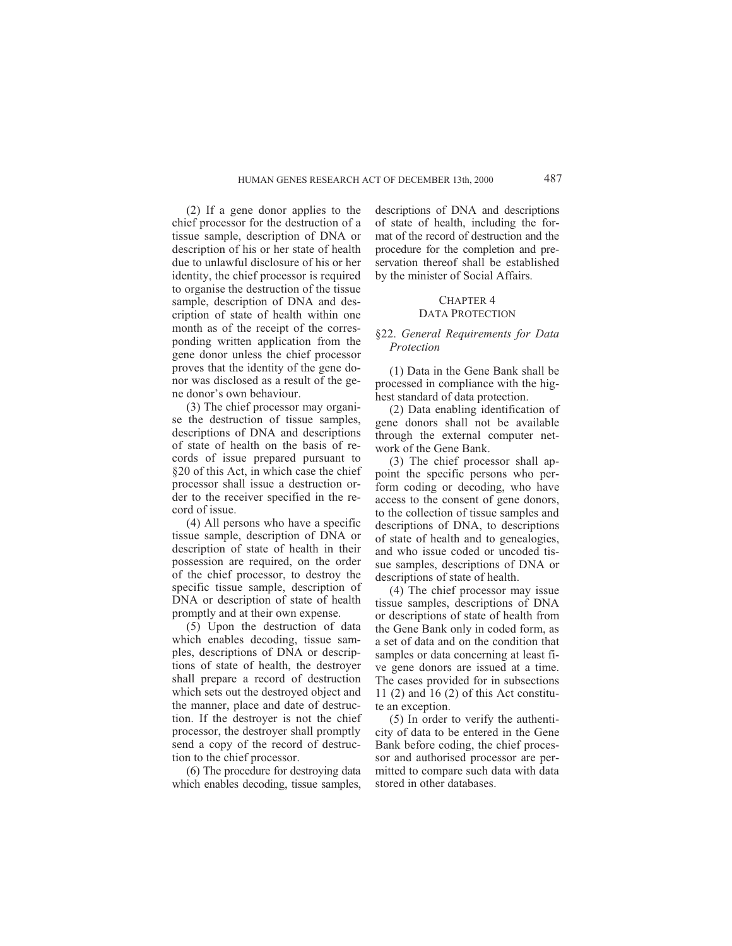(2) If a gene donor applies to the chief processor for the destruction of a tissue sample, description of DNA or description of his or her state of health due to unlawful disclosure of his or her identity, the chief processor is required to organise the destruction of the tissue sample, description of DNA and description of state of health within one month as of the receipt of the corresponding written application from the gene donor unless the chief processor proves that the identity of the gene donor was disclosed as a result of the gene donor's own behaviour.

(3) The chief processor may organise the destruction of tissue samples, descriptions of DNA and descriptions of state of health on the basis of records of issue prepared pursuant to §20 of this Act, in which case the chief processor shall issue a destruction order to the receiver specified in the record of issue.

(4) All persons who have a specific tissue sample, description of DNA or description of state of health in their possession are required, on the order of the chief processor, to destroy the specific tissue sample, description of DNA or description of state of health promptly and at their own expense.

(5) Upon the destruction of data which enables decoding, tissue samples, descriptions of DNA or descriptions of state of health, the destroyer shall prepare a record of destruction which sets out the destroyed object and the manner, place and date of destruction. If the destroyer is not the chief processor, the destroyer shall promptly send a copy of the record of destruction to the chief processor.

(6) The procedure for destroying data which enables decoding, tissue samples, descriptions of DNA and descriptions of state of health, including the format of the record of destruction and the procedure for the completion and preservation thereof shall be established by the minister of Social Affairs.

#### CHAPTER 4 DATA PROTECTION

# §22. *General Requirements for Data Protection*

(1) Data in the Gene Bank shall be processed in compliance with the highest standard of data protection.

(2) Data enabling identification of gene donors shall not be available through the external computer network of the Gene Bank.

(3) The chief processor shall appoint the specific persons who perform coding or decoding, who have access to the consent of gene donors, to the collection of tissue samples and descriptions of DNA, to descriptions of state of health and to genealogies, and who issue coded or uncoded tissue samples, descriptions of DNA or descriptions of state of health.

(4) The chief processor may issue tissue samples, descriptions of DNA or descriptions of state of health from the Gene Bank only in coded form, as a set of data and on the condition that samples or data concerning at least five gene donors are issued at a time. The cases provided for in subsections 11 (2) and 16 (2) of this Act constitute an exception.

(5) In order to verify the authenticity of data to be entered in the Gene Bank before coding, the chief processor and authorised processor are permitted to compare such data with data stored in other databases.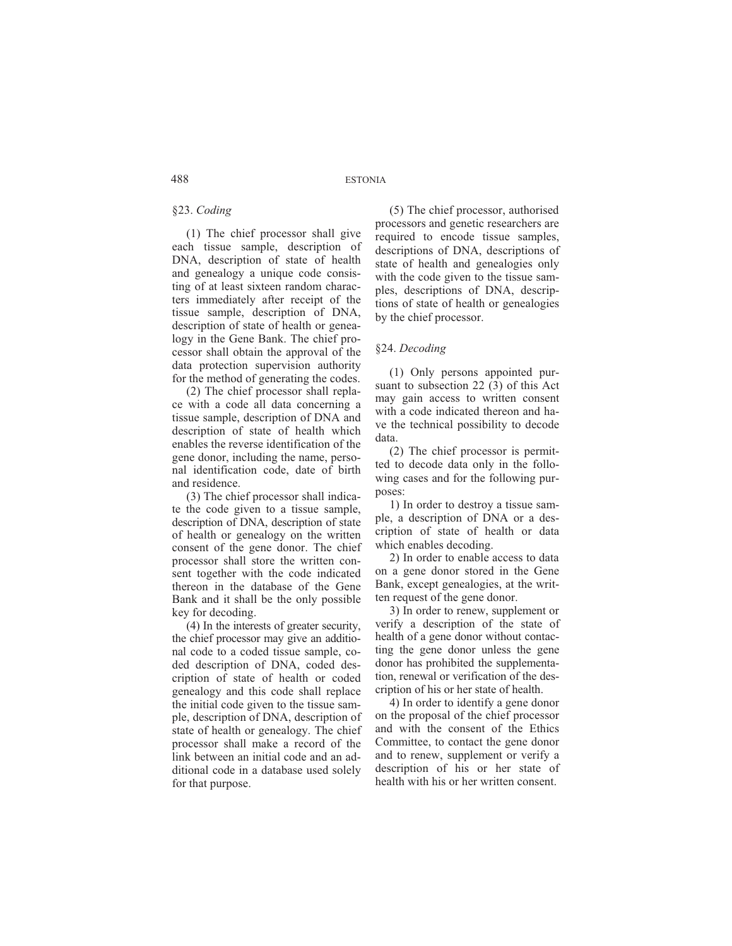# §23. *Coding*

(1) The chief processor shall give each tissue sample, description of DNA, description of state of health and genealogy a unique code consisting of at least sixteen random characters immediately after receipt of the tissue sample, description of DNA, description of state of health or genealogy in the Gene Bank. The chief processor shall obtain the approval of the data protection supervision authority for the method of generating the codes.

(2) The chief processor shall replace with a code all data concerning a tissue sample, description of DNA and description of state of health which enables the reverse identification of the gene donor, including the name, personal identification code, date of birth and residence.

(3) The chief processor shall indicate the code given to a tissue sample, description of DNA, description of state of health or genealogy on the written consent of the gene donor. The chief processor shall store the written consent together with the code indicated thereon in the database of the Gene Bank and it shall be the only possible key for decoding.

(4) In the interests of greater security, the chief processor may give an additional code to a coded tissue sample, coded description of DNA, coded description of state of health or coded genealogy and this code shall replace the initial code given to the tissue sample, description of DNA, description of state of health or genealogy. The chief processor shall make a record of the link between an initial code and an additional code in a database used solely for that purpose.

(5) The chief processor, authorised processors and genetic researchers are required to encode tissue samples, descriptions of DNA, descriptions of state of health and genealogies only with the code given to the tissue samples, descriptions of DNA, descriptions of state of health or genealogies by the chief processor.

# §24. *Decoding*

(1) Only persons appointed pursuant to subsection 22 (3) of this Act may gain access to written consent with a code indicated thereon and have the technical possibility to decode data.

(2) The chief processor is permitted to decode data only in the following cases and for the following purposes:

1) In order to destroy a tissue sample, a description of DNA or a description of state of health or data which enables decoding.

2) In order to enable access to data on a gene donor stored in the Gene Bank, except genealogies, at the written request of the gene donor.

3) In order to renew, supplement or verify a description of the state of health of a gene donor without contacting the gene donor unless the gene donor has prohibited the supplementation, renewal or verification of the description of his or her state of health.

4) In order to identify a gene donor on the proposal of the chief processor and with the consent of the Ethics Committee, to contact the gene donor and to renew, supplement or verify a description of his or her state of health with his or her written consent.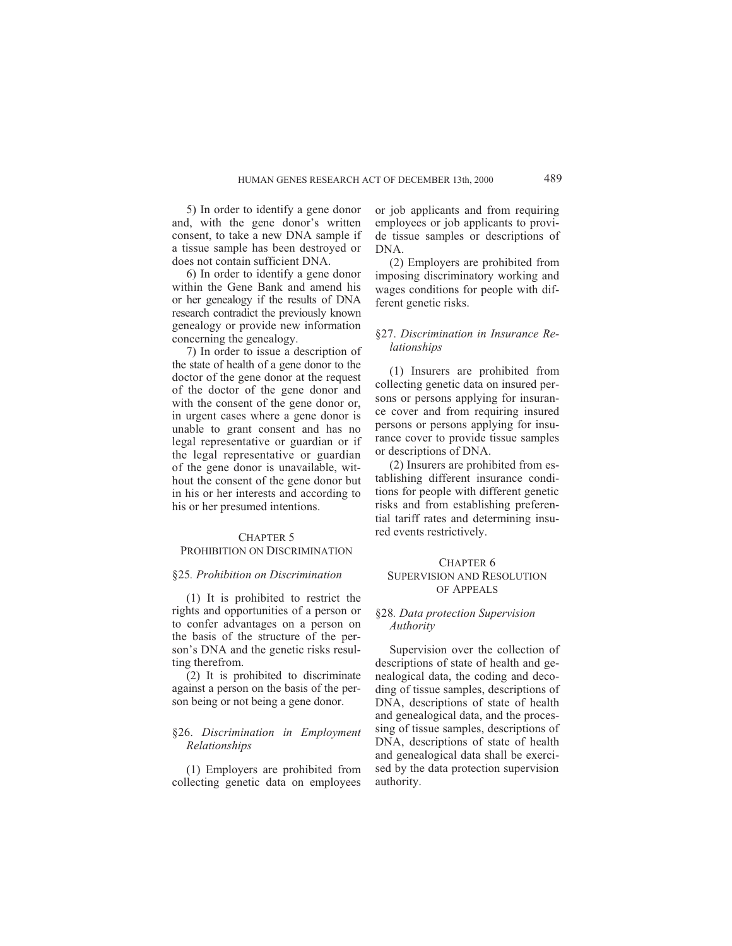5) In order to identify a gene donor and, with the gene donor's written consent, to take a new DNA sample if a tissue sample has been destroyed or does not contain sufficient DNA.

6) In order to identify a gene donor within the Gene Bank and amend his or her genealogy if the results of DNA research contradict the previously known genealogy or provide new information concerning the genealogy.

7) In order to issue a description of the state of health of a gene donor to the doctor of the gene donor at the request of the doctor of the gene donor and with the consent of the gene donor or, in urgent cases where a gene donor is unable to grant consent and has no legal representative or guardian or if the legal representative or guardian of the gene donor is unavailable, without the consent of the gene donor but in his or her interests and according to his or her presumed intentions.

# CHAPTER 5 PROHIBITION ON DISCRIMINATION

#### §25*. Prohibition on Discrimination*

(1) It is prohibited to restrict the rights and opportunities of a person or to confer advantages on a person on the basis of the structure of the person's DNA and the genetic risks resulting therefrom.

(2) It is prohibited to discriminate against a person on the basis of the person being or not being a gene donor.

# §26. *Discrimination in Employment Relationships*

(1) Employers are prohibited from collecting genetic data on employees

or job applicants and from requiring employees or job applicants to provide tissue samples or descriptions of DNA.

(2) Employers are prohibited from imposing discriminatory working and wages conditions for people with different genetic risks.

# §27. *Discrimination in Insurance Relationships*

(1) Insurers are prohibited from collecting genetic data on insured persons or persons applying for insurance cover and from requiring insured persons or persons applying for insurance cover to provide tissue samples or descriptions of DNA.

(2) Insurers are prohibited from establishing different insurance conditions for people with different genetic risks and from establishing preferential tariff rates and determining insured events restrictively.

# CHAPTER 6 SUPERVISION AND RESOLUTION OF APPEALS

# §28*. Data protection Supervision Authority*

Supervision over the collection of descriptions of state of health and genealogical data, the coding and decoding of tissue samples, descriptions of DNA, descriptions of state of health and genealogical data, and the processing of tissue samples, descriptions of DNA, descriptions of state of health and genealogical data shall be exercised by the data protection supervision authority.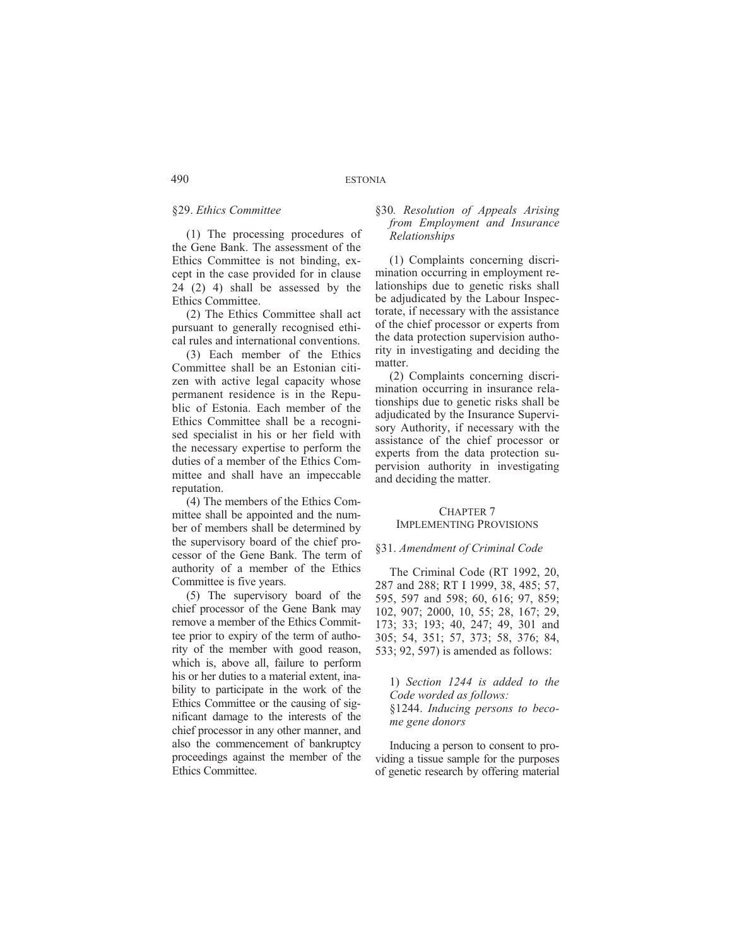# §29. *Ethics Committee*

(1) The processing procedures of the Gene Bank. The assessment of the Ethics Committee is not binding, except in the case provided for in clause 24 (2) 4) shall be assessed by the Ethics Committee.

(2) The Ethics Committee shall act pursuant to generally recognised ethical rules and international conventions.

(3) Each member of the Ethics Committee shall be an Estonian citizen with active legal capacity whose permanent residence is in the Republic of Estonia. Each member of the Ethics Committee shall be a recognised specialist in his or her field with the necessary expertise to perform the duties of a member of the Ethics Committee and shall have an impeccable reputation.

(4) The members of the Ethics Committee shall be appointed and the number of members shall be determined by the supervisory board of the chief processor of the Gene Bank. The term of authority of a member of the Ethics Committee is five years.

(5) The supervisory board of the chief processor of the Gene Bank may remove a member of the Ethics Committee prior to expiry of the term of authority of the member with good reason, which is, above all, failure to perform his or her duties to a material extent, inability to participate in the work of the Ethics Committee or the causing of significant damage to the interests of the chief processor in any other manner, and also the commencement of bankruptcy proceedings against the member of the Ethics Committee.

# §30*. Resolution of Appeals Arising from Employment and Insurance Relationships*

(1) Complaints concerning discrimination occurring in employment relationships due to genetic risks shall be adjudicated by the Labour Inspectorate, if necessary with the assistance of the chief processor or experts from the data protection supervision authority in investigating and deciding the matter.

(2) Complaints concerning discrimination occurring in insurance relationships due to genetic risks shall be adjudicated by the Insurance Supervisory Authority, if necessary with the assistance of the chief processor or experts from the data protection supervision authority in investigating and deciding the matter.

#### CHAPTER 7 IMPLEMENTING PROVISIONS

# §31. *Amendment of Criminal Code*

The Criminal Code (RT 1992, 20, 287 and 288; RT I 1999, 38, 485; 57, 595, 597 and 598; 60, 616; 97, 859; 102, 907; 2000, 10, 55; 28, 167; 29, 173; 33; 193; 40, 247; 49, 301 and 305; 54, 351; 57, 373; 58, 376; 84, 533; 92, 597) is amended as follows:

1) *Section 1244 is added to the Code worded as follows:* §1244. *Inducing persons to become gene donors*

Inducing a person to consent to providing a tissue sample for the purposes of genetic research by offering material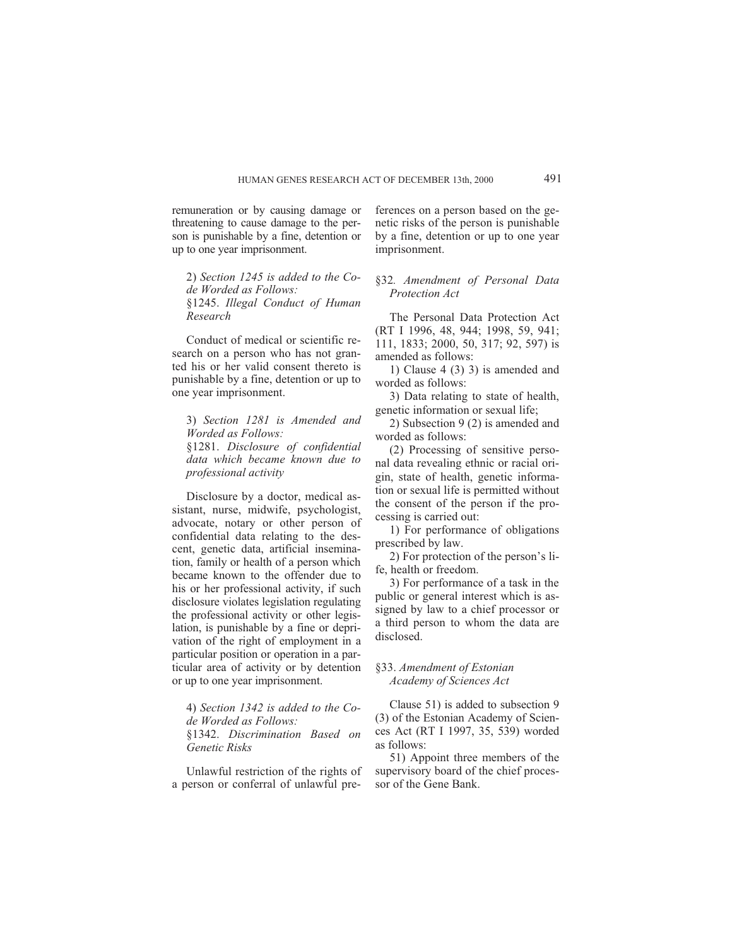remuneration or by causing damage or threatening to cause damage to the person is punishable by a fine, detention or up to one year imprisonment.

2) *Section 1245 is added to the Code Worded as Follows:* §1245. *Illegal Conduct of Human Research*

Conduct of medical or scientific research on a person who has not granted his or her valid consent thereto is punishable by a fine, detention or up to one year imprisonment.

3) *Section 1281 is Amended and Worded as Follows:* §1281. *Disclosure of confidential data which became known due to professional activity*

Disclosure by a doctor, medical assistant, nurse, midwife, psychologist, advocate, notary or other person of confidential data relating to the descent, genetic data, artificial insemination, family or health of a person which became known to the offender due to his or her professional activity, if such disclosure violates legislation regulating the professional activity or other legislation, is punishable by a fine or deprivation of the right of employment in a particular position or operation in a particular area of activity or by detention or up to one year imprisonment.

4) *Section 1342 is added to the Code Worded as Follows:* §1342. *Discrimination Based on Genetic Risks*

Unlawful restriction of the rights of a person or conferral of unlawful preferences on a person based on the genetic risks of the person is punishable by a fine, detention or up to one year imprisonment.

§32*. Amendment of Personal Data Protection Act*

The Personal Data Protection Act (RT I 1996, 48, 944; 1998, 59, 941; 111, 1833; 2000, 50, 317; 92, 597) is amended as follows:

1) Clause 4 (3) 3) is amended and worded as follows:

3) Data relating to state of health, genetic information or sexual life;

2) Subsection 9 (2) is amended and worded as follows:

(2) Processing of sensitive personal data revealing ethnic or racial origin, state of health, genetic information or sexual life is permitted without the consent of the person if the processing is carried out:

1) For performance of obligations prescribed by law.

2) For protection of the person's life, health or freedom.

3) For performance of a task in the public or general interest which is assigned by law to a chief processor or a third person to whom the data are disclosed.

# §33. *Amendment of Estonian Academy of Sciences Act*

Clause 51) is added to subsection 9 (3) of the Estonian Academy of Sciences Act (RT I 1997, 35, 539) worded as follows:

51) Appoint three members of the supervisory board of the chief processor of the Gene Bank.